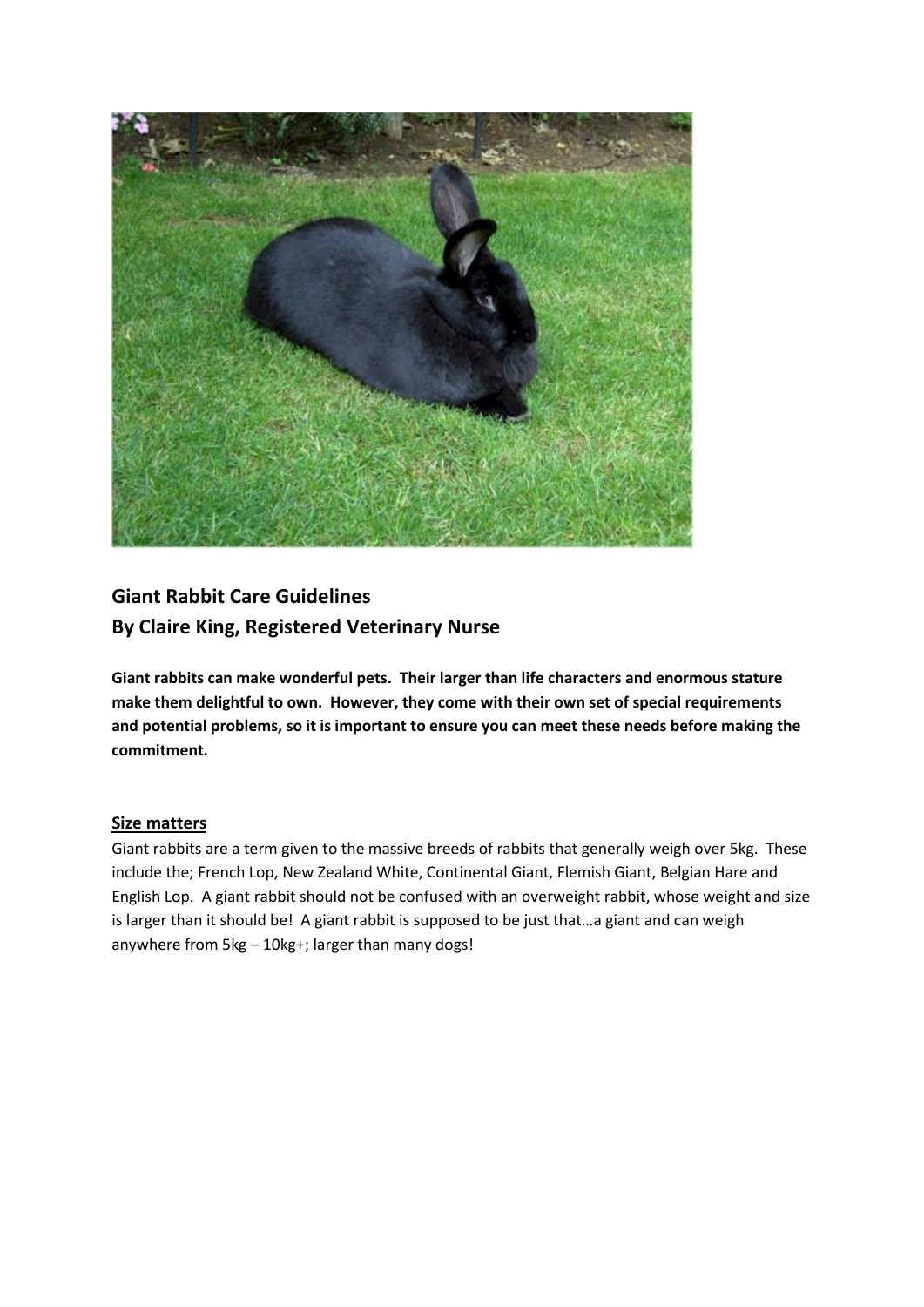

# **Giant Rabbit Care Guidelines By Claire King, Registered Veterinary Nurse**

**Giant rabbits can make wonderful pets. Their larger than life characters and enormous stature make them delightful to own. However, they come with their own set of special requirements and potential problems, so it is important to ensure you can meet these needs before making the commitment.**

# **Size matters**

Giant rabbits are a term given to the massive breeds of rabbits that generally weigh over 5kg. These include the; French Lop, New Zealand White, Continental Giant, Flemish Giant, Belgian Hare and English Lop. A giant rabbit should not be confused with an overweight rabbit, whose weight and size is larger than it should be! A giant rabbit is supposed to be just that...a giant and can weigh anywhere from 5kg – 10kg+; larger than many dogs!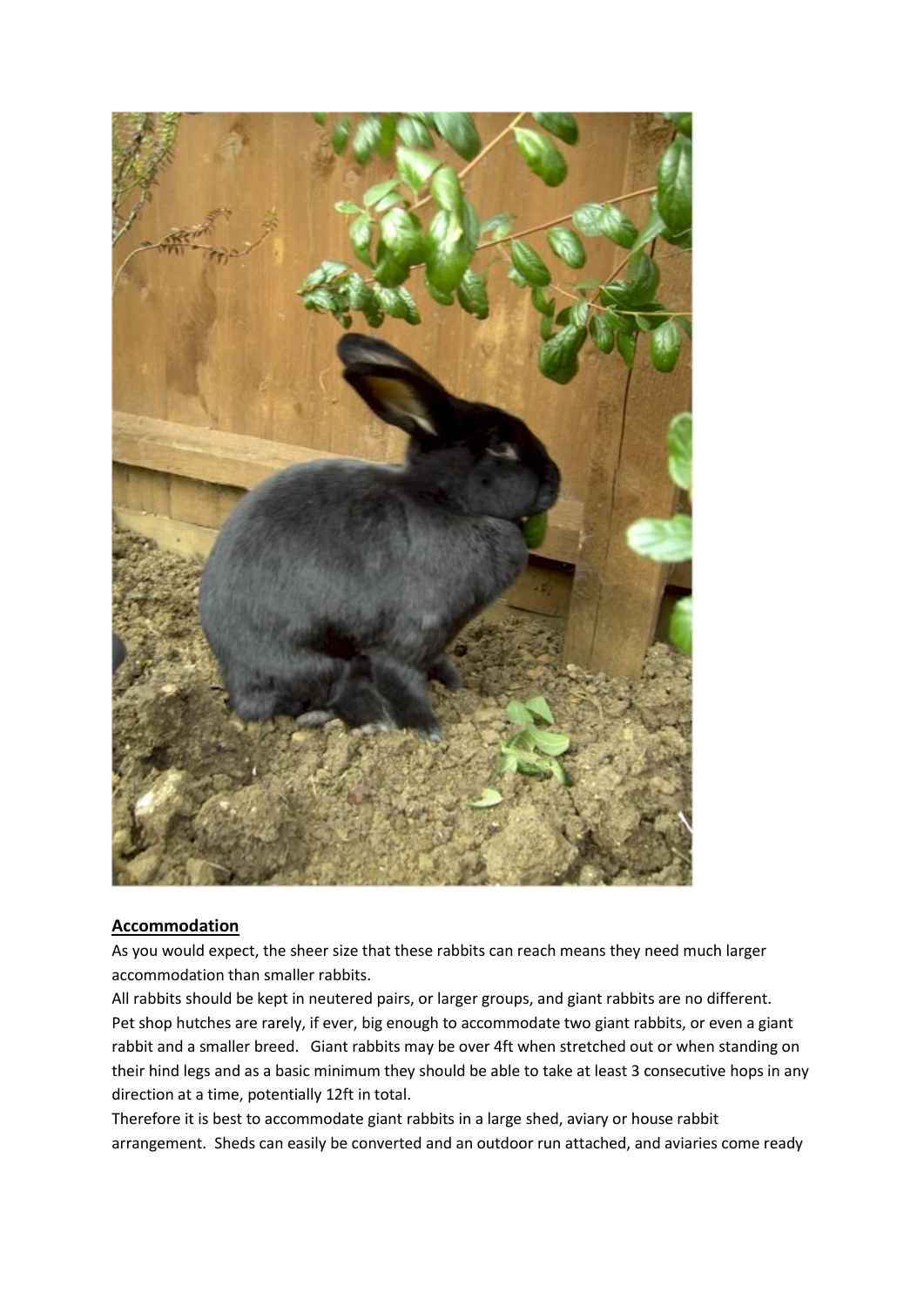

#### **Accommodation**

As you would expect, the sheer size that these rabbits can reach means they need much larger accommodation than smaller rabbits.

All rabbits should be kept in neutered pairs, or larger groups, and giant rabbits are no different. Pet shop hutches are rarely, if ever, big enough to accommodate two giant rabbits, or even a giant rabbit and a smaller breed. Giant rabbits may be over 4ft when stretched out or when standing on their hind legs and as a basic minimum they should be able to take at least 3 consecutive hops in any direction at a time, potentially 12ft in total.

Therefore it is best to accommodate giant rabbits in a large shed, aviary or house rabbit arrangement. Sheds can easily be converted and an outdoor run attached, and aviaries come ready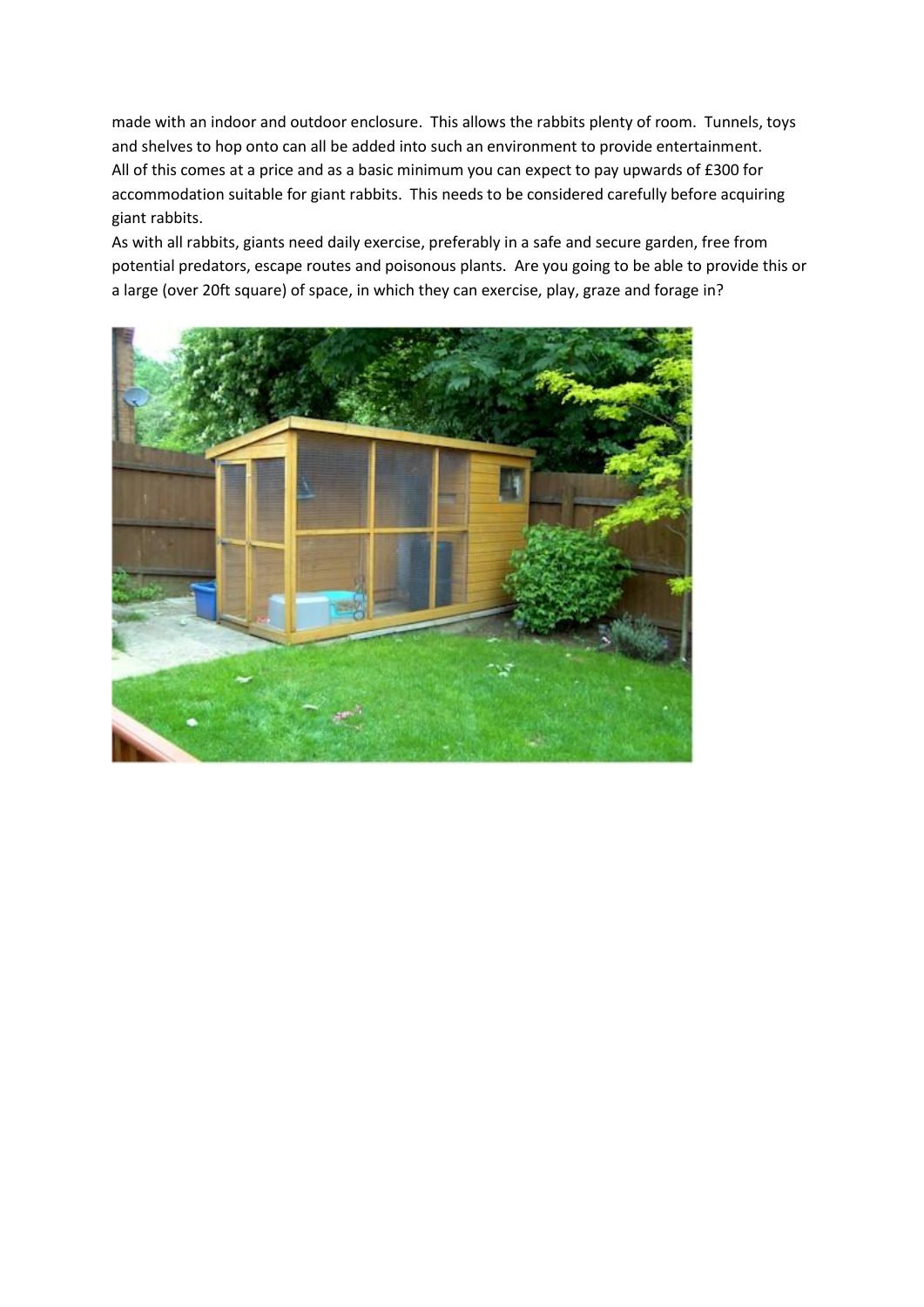made with an indoor and outdoor enclosure. This allows the rabbits plenty of room. Tunnels, toys and shelves to hop onto can all be added into such an environment to provide entertainment. All of this comes at a price and as a basic minimum you can expect to pay upwards of £300 for accommodation suitable for giant rabbits. This needs to be considered carefully before acquiring giant rabbits.

As with all rabbits, giants need daily exercise, preferably in a safe and secure garden, free from potential predators, escape routes and poisonous plants. Are you going to be able to provide this or a large (over 20ft square) of space, in which they can exercise, play, graze and forage in?

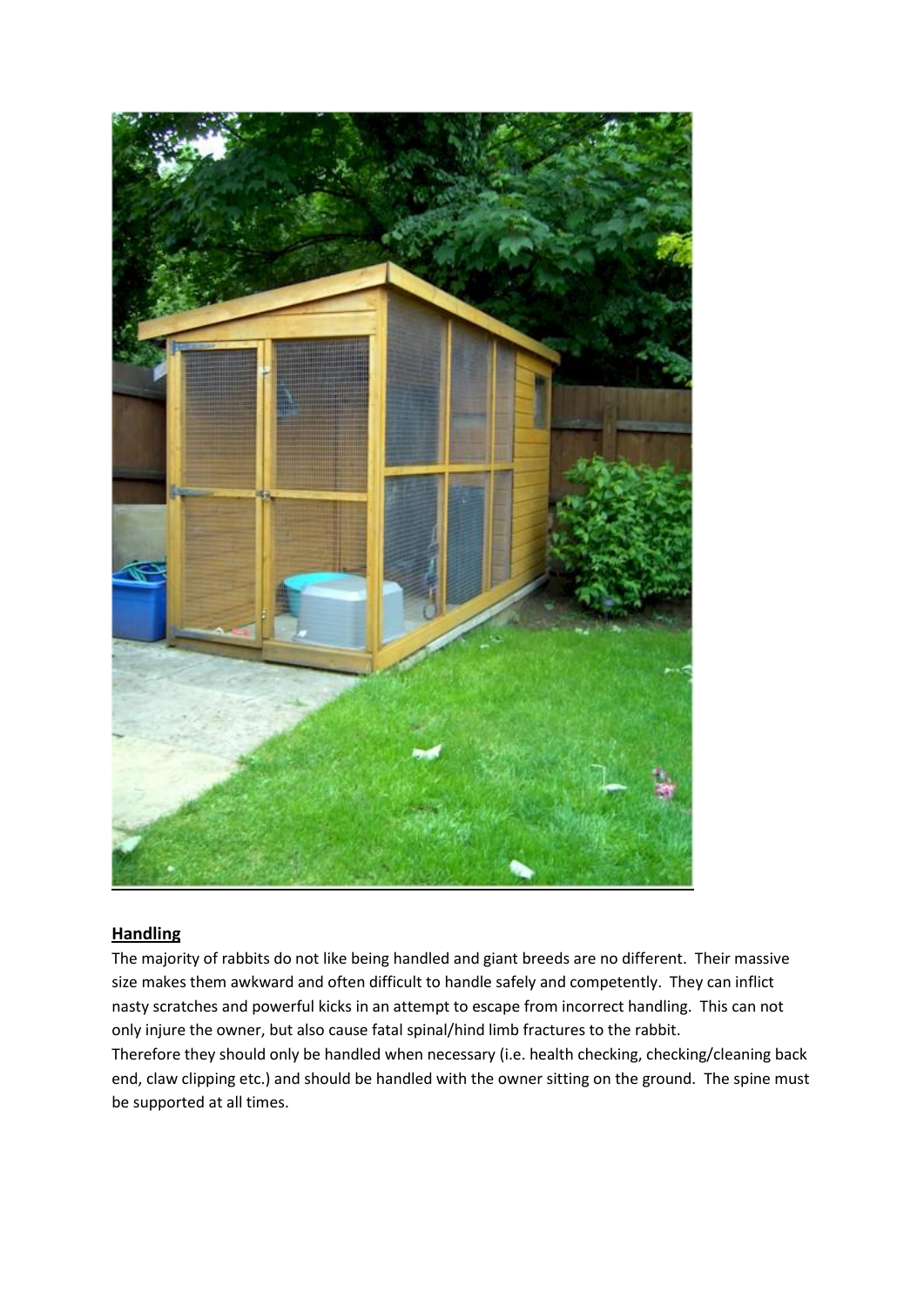

# **Handling**

The majority of rabbits do not like being handled and giant breeds are no different. Their massive size makes them awkward and often difficult to handle safely and competently. They can inflict nasty scratches and powerful kicks in an attempt to escape from incorrect handling. This can not only injure the owner, but also cause fatal spinal/hind limb fractures to the rabbit. Therefore they should only be handled when necessary (i.e. health checking, checking/cleaning back

end, claw clipping etc.) and should be handled with the owner sitting on the ground. The spine must be supported at all times.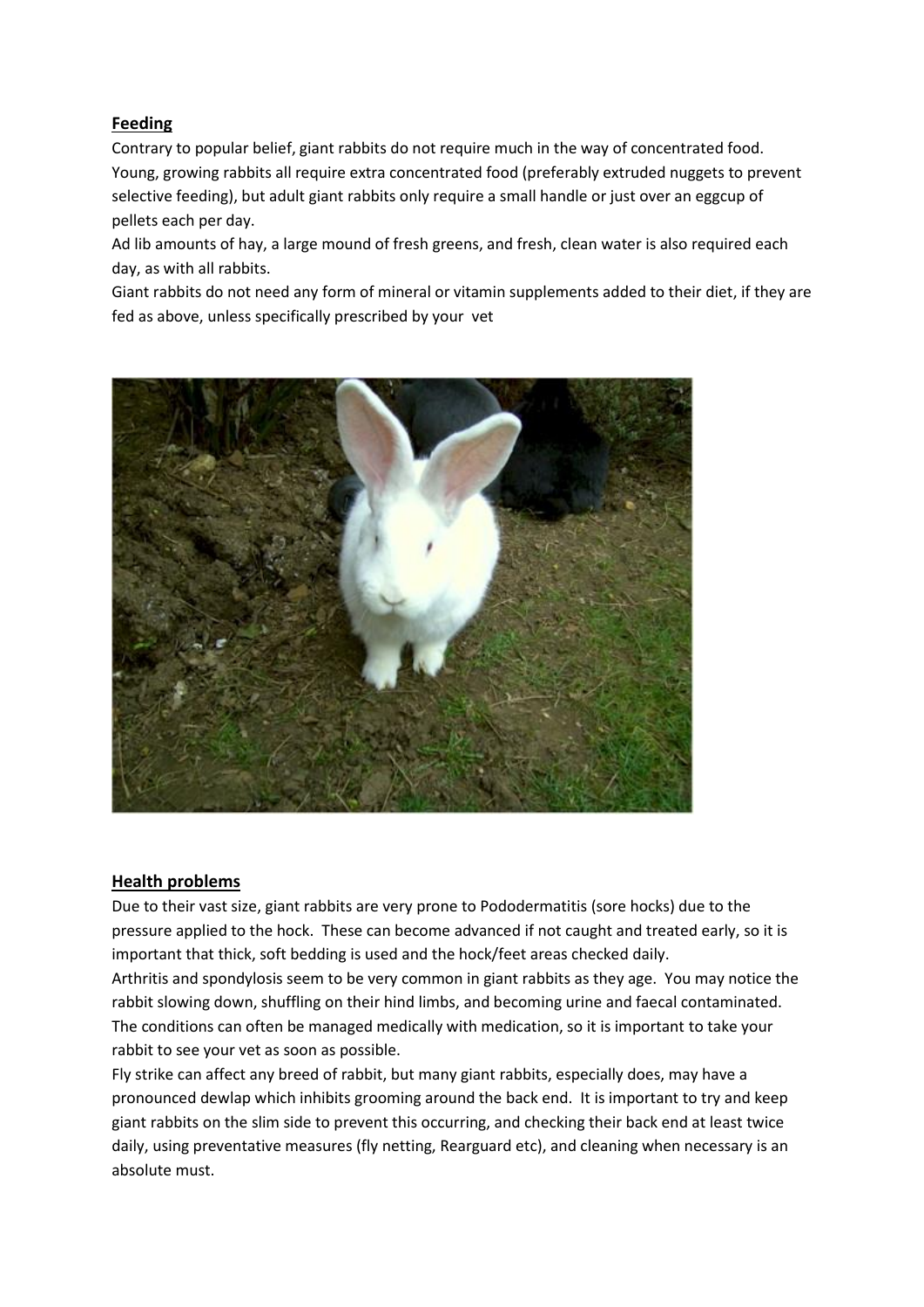## **Feeding**

Contrary to popular belief, giant rabbits do not require much in the way of concentrated food. Young, growing rabbits all require extra concentrated food (preferably extruded nuggets to prevent selective feeding), but adult giant rabbits only require a small handle or just over an eggcup of pellets each per day.

Ad lib amounts of hay, a large mound of fresh greens, and fresh, clean water is also required each day, as with all rabbits.

Giant rabbits do not need any form of mineral or vitamin supplements added to their diet, if they are fed as above, unless specifically prescribed by your vet



#### **Health problems**

Due to their vast size, giant rabbits are very prone to Pododermatitis (sore hocks) due to the pressure applied to the hock. These can become advanced if not caught and treated early, so it is important that thick, soft bedding is used and the hock/feet areas checked daily.

Arthritis and spondylosis seem to be very common in giant rabbits as they age. You may notice the rabbit slowing down, shuffling on their hind limbs, and becoming urine and faecal contaminated. The conditions can often be managed medically with medication, so it is important to take your rabbit to see your vet as soon as possible.

Fly strike can affect any breed of rabbit, but many giant rabbits, especially does, may have a pronounced dewlap which inhibits grooming around the back end. It is important to try and keep giant rabbits on the slim side to prevent this occurring, and checking their back end at least twice daily, using preventative measures (fly netting, Rearguard etc), and cleaning when necessary is an absolute must.